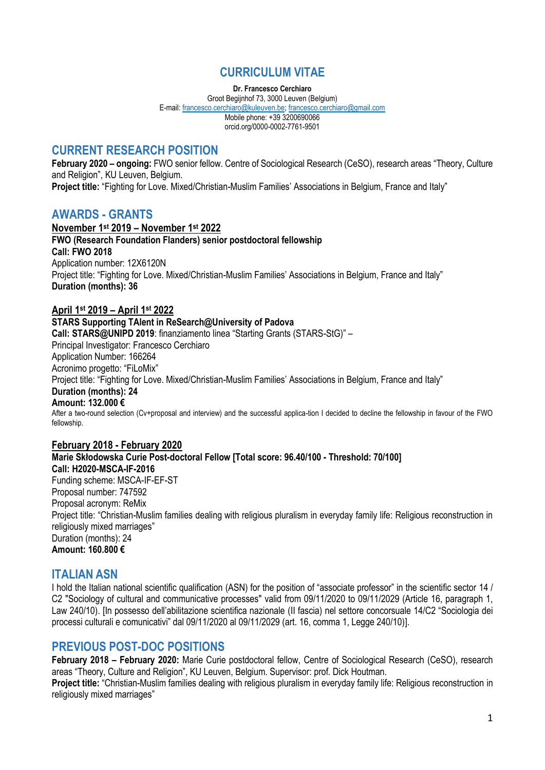# **CURRICULUM VITAE**

**Dr. Francesco Cerchiaro**

Groot Begijnhof 73, 3000 Leuven (Belgium) E-mail[: francesco.cerchiaro@kuleuven.be;](mailto:francesco.cerchiaro@kuleuven.be) [francesco.cerchiaro@gmail.com](mailto:francesco.cerchiaro@gmail.com) Mobile phone: +39 3200690066 orcid.org/0000-0002-7761-9501

# **CURRENT RESEARCH POSITION**

**February 2020 – ongoing:** FWO senior fellow. Centre of Sociological Research (CeSO), research areas "Theory, Culture and Religion", KU Leuven, Belgium. **Project title:** "Fighting for Love. Mixed/Christian-Muslim Families' Associations in Belgium, France and Italy"

## **AWARDS - GRANTS**

**November 1st 2019 – November 1st 2022 FWO (Research Foundation Flanders) senior postdoctoral fellowship Call: FWO 2018** Application number: 12X6120N Project title: "Fighting for Love. Mixed/Christian-Muslim Families' Associations in Belgium, France and Italy" **Duration (months): 36**

### **April 1st 2019 – April 1st 2022**

### **STARS Supporting TAlent in ReSearch@University of Padova**

**Call: STARS@UNIPD 2019**: finanziamento linea "Starting Grants (STARS-StG)" – Principal Investigator: Francesco Cerchiaro Application Number: 166264 Acronimo progetto: "FiLoMix" Project title: "Fighting for Love. Mixed/Christian-Muslim Families' Associations in Belgium, France and Italy" **Duration (months): 24 Amount: 132.000 €** After a two-round selection (Cv+proposal and interview) and the successful applica-tion I decided to decline the fellowship in favour of the FWO fellowship.

**February 2018 - February 2020 Marie Skłodowska Curie Post-doctoral Fellow [Total score: 96.40/100 - Threshold: 70/100] Call: H2020-MSCA-IF-2016** Funding scheme: MSCA-IF-EF-ST Proposal number: 747592 Proposal acronym: ReMix Project title: "Christian-Muslim families dealing with religious pluralism in everyday family life: Religious reconstruction in religiously mixed marriages" Duration (months): 24 **Amount: 160.800 €**

## **ITALIAN ASN**

I hold the Italian national scientific qualification (ASN) for the position of "associate professor" in the scientific sector 14 / C2 "Sociology of cultural and communicative processes" valid from 09/11/2020 to 09/11/2029 (Article 16, paragraph 1, Law 240/10). [In possesso dell'abilitazione scientifica nazionale (II fascia) nel settore concorsuale 14/C2 "Sociologia dei processi culturali e comunicativi" dal 09/11/2020 al 09/11/2029 (art. 16, comma 1, Legge 240/10)].

# **PREVIOUS POST-DOC POSITIONS**

**February 2018 – February 2020:** Marie Curie postdoctoral fellow, Centre of Sociological Research (CeSO), research areas "Theory, Culture and Religion", KU Leuven, Belgium. Supervisor: prof. Dick Houtman.

**Project title:** "Christian-Muslim families dealing with religious pluralism in everyday family life: Religious reconstruction in religiously mixed marriages"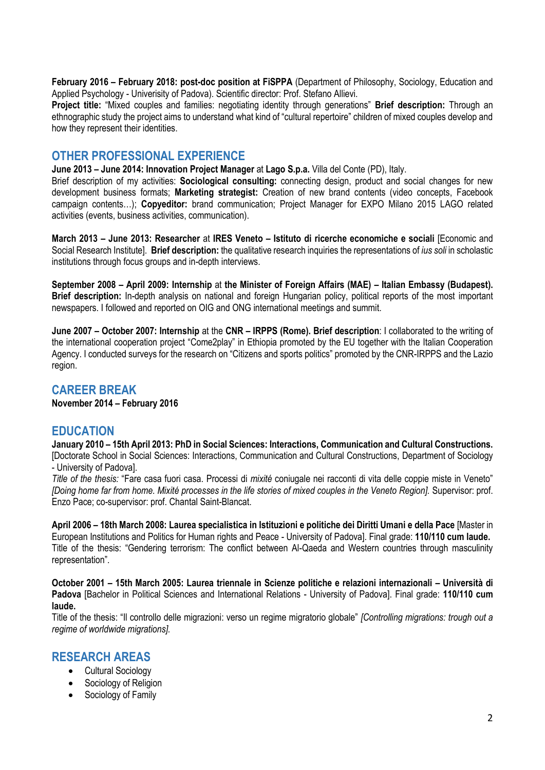**February 2016 – February 2018: post-doc position at FiSPPA** (Department of Philosophy, Sociology, Education and Applied Psychology - Univerisity of Padova). Scientific director: Prof. Stefano Allievi.

**Project title:** "Mixed couples and families: negotiating identity through generations" **Brief description:** Through an ethnographic study the project aims to understand what kind of "cultural repertoire" children of mixed couples develop and how they represent their identities.

## **OTHER PROFESSIONAL EXPERIENCE**

**June 2013 – June 2014: Innovation Project Manager** at **Lago S.p.a.** Villa del Conte (PD), Italy.

Brief description of my activities: **Sociological consulting:** connecting design, product and social changes for new development business formats; **Marketing strategist:** Creation of new brand contents (video concepts, Facebook campaign contents…); **Copyeditor:** brand communication; Project Manager for EXPO Milano 2015 LAGO related activities (events, business activities, communication).

**March 2013 – June 2013: Researcher** at **IRES Veneto – Istituto di ricerche economiche e sociali** [Economic and Social Research Institute]. **Brief description:** the qualitative research inquiries the representations of *ius soli* in scholastic institutions through focus groups and in-depth interviews.

**September 2008 – April 2009: Internship** at **the Minister of Foreign Affairs (MAE) – Italian Embassy (Budapest). Brief description:** In-depth analysis on national and foreign Hungarian policy, political reports of the most important newspapers. I followed and reported on OIG and ONG international meetings and summit.

**June 2007 – October 2007: Internship** at the **CNR – IRPPS (Rome). Brief description**: I collaborated to the writing of the international cooperation project "Come2play" in Ethiopia promoted by the EU together with the Italian Cooperation Agency. I conducted surveys for the research on "Citizens and sports politics" promoted by the CNR-IRPPS and the Lazio region.

### **CAREER BREAK**

**November 2014 – February 2016**

## **EDUCATION**

**January 2010 – 15th April 2013: PhD in Social Sciences: Interactions, Communication and Cultural Constructions.** [Doctorate School in Social Sciences: Interactions, Communication and Cultural Constructions, Department of Sociology - University of Padova].

*Title of the thesis:* "Fare casa fuori casa. Processi di *mixité* coniugale nei racconti di vita delle coppie miste in Veneto" *[Doing home far from home. Mixité processes in the life stories of mixed couples in the Veneto Region].* Supervisor: prof. Enzo Pace; co-supervisor: prof. Chantal Saint-Blancat.

**April 2006 – 18th March 2008: Laurea specialistica in Istituzioni e politiche dei Diritti Umani e della Pace** [Master in European Institutions and Politics for Human rights and Peace - University of Padova]. Final grade: **110/110 cum laude.** Title of the thesis: "Gendering terrorism: The conflict between Al-Qaeda and Western countries through masculinity representation"*.*

**October 2001 – 15th March 2005: Laurea triennale in Scienze politiche e relazioni internazionali – Università di Padova** [Bachelor in Political Sciences and International Relations - University of Padova]. Final grade: **110/110 cum laude.**

Title of the thesis: "Il controllo delle migrazioni: verso un regime migratorio globale" *[Controlling migrations: trough out a regime of worldwide migrations].*

### **RESEARCH AREAS**

- Cultural Sociology
- Sociology of Religion
- Sociology of Family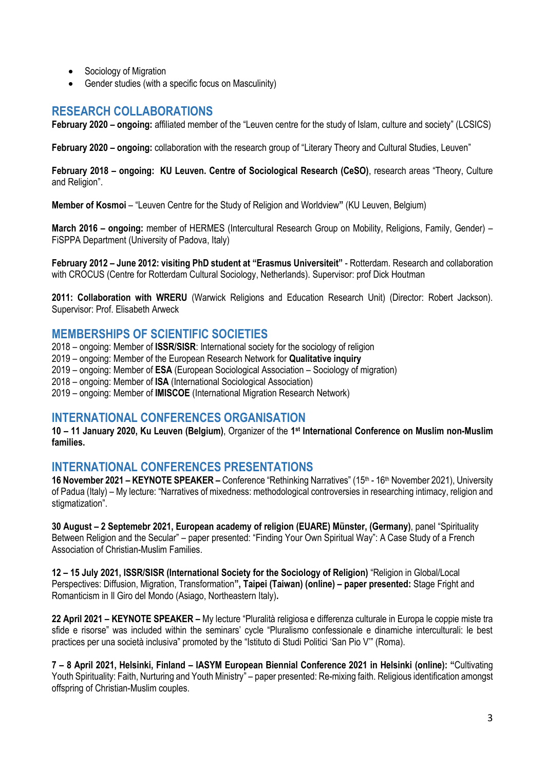- Sociology of Migration
- Gender studies (with a specific focus on Masculinity)

# **RESEARCH COLLABORATIONS**

**February 2020 – ongoing:** affiliated member of the "Leuven centre for the study of Islam, culture and society" (LCSICS)

**February 2020 – ongoing:** collaboration with the research group of "[Literary Theory and Cultural Studies, Leuven](https://www.kuleuven.be/wieiswie/en/unit/50518145)"

**February 2018 – ongoing: KU Leuven. Centre of Sociological Research (CeSO)**, research areas "Theory, Culture and Religion".

**Member of Kosmoi** – "Leuven Centre for the Study of Religion and Worldview**"** (KU Leuven, Belgium)

**March 2016 – ongoing:** member of HERMES (Intercultural Research Group on Mobility, Religions, Family, Gender) – FiSPPA Department (University of Padova, Italy)

**February 2012 – June 2012: visiting PhD student at "Erasmus Universiteit"** - Rotterdam. Research and collaboration with CROCUS (Centre for Rotterdam Cultural Sociology, Netherlands). Supervisor: prof Dick Houtman

**2011: Collaboration with WRERU** (Warwick Religions and Education Research Unit) (Director: Robert Jackson). Supervisor: Prof. Elisabeth Arweck

## **MEMBERSHIPS OF SCIENTIFIC SOCIETIES**

2018 – ongoing: Member of **ISSR/SISR**: International society for the sociology of religion

2019 – ongoing: Member of the European Research Network for **Qualitative inquiry**

2019 – ongoing: Member of **ESA** (European Sociological Association – Sociology of migration)

2018 – ongoing: Member of **ISA** (International Sociological Association)

2019 – ongoing: Member of **IMISCOE** (International Migration Research Network)

## **INTERNATIONAL CONFERENCES ORGANISATION**

**10 – 11 January 2020, Ku Leuven (Belgium)**, Organizer of the **1 st International Conference on Muslim non-Muslim families.**

## **INTERNATIONAL CONFERENCES PRESENTATIONS**

**16 November 2021 – KEYNOTE SPEAKER –** Conference "Rethinking Narratives" (15th - 16th November 2021), University of Padua (Italy) – My lecture: "Narratives of mixedness: methodological controversies in researching intimacy, religion and stigmatization".

**30 August – 2 Septemebr 2021, European academy of religion (EUARE) Münster, (Germany)**, panel "Spirituality Between Religion and the Secular" – paper presented: "Finding Your Own Spiritual Way": A Case Study of a French Association of Christian-Muslim Families.

**12 – 15 July 2021, ISSR/SISR (International Society for the Sociology of Religion)** "Religion in Global/Local Perspectives: Diffusion, Migration, Transformation**", Taipei (Taiwan) (online) – paper presented:** Stage Fright and Romanticism in Il Giro del Mondo (Asiago, Northeastern Italy)**.**

**22 April 2021 – KEYNOTE SPEAKER –** My lecture "Pluralità religiosa e differenza culturale in Europa le coppie miste tra sfide e risorse" was included within the seminars' cycle "Pluralismo confessionale e dinamiche interculturali: le best practices per una società inclusiva" promoted by the "Istituto di Studi Politici 'San Pio V'" (Roma).

**7 – 8 April 2021, Helsinki, Finland – IASYM European Biennial Conference 2021 in Helsinki (online): "**Cultivating Youth Spirituality: Faith, Nurturing and Youth Ministry" – paper presented: Re-mixing faith. Religious identification amongst offspring of Christian-Muslim couples.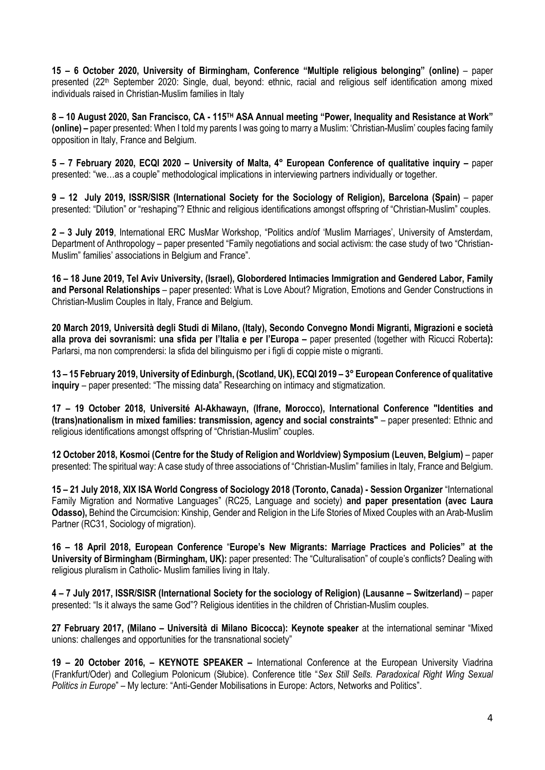**15 – 6 October 2020, University of Birmingham, Conference "Multiple religious belonging" (online)** – paper presented (22th September 2020: Single, dual, beyond: ethnic, racial and religious self identification among mixed individuals raised in Christian-Muslim families in Italy

**8 – 10 August 2020, San Francisco, CA - 115TH ASA Annual meeting "Power, Inequality and Resistance at Work" (online) –** paper presented: When I told my parents I was going to marry a Muslim: 'Christian-Muslim' couples facing family opposition in Italy, France and Belgium.

**5 – 7 February 2020, ECQI 2020 – University of Malta, 4° European Conference of qualitative inquiry –** paper presented: "we…as a couple" methodological implications in interviewing partners individually or together.

**9 – 12 July 2019, ISSR/SISR (International Society for the Sociology of Religion), Barcelona (Spain)** – paper presented: "Dilution" or "reshaping"? Ethnic and religious identifications amongst offspring of "Christian-Muslim" couples.

**2 – 3 July 2019**, International ERC MusMar Workshop, "Politics and/of 'Muslim Marriages', University of Amsterdam, Department of Anthropology – paper presented "Family negotiations and social activism: the case study of two "Christian-Muslim" families' associations in Belgium and France".

**16 – 18 June 2019, Tel Aviv University, (Israel), Globordered Intimacies Immigration and Gendered Labor, Family and Personal Relationships** – paper presented: What is Love About? Migration, Emotions and Gender Constructions in Christian-Muslim Couples in Italy, France and Belgium.

**20 March 2019, Università degli Studi di Milano, (Italy), Secondo Convegno Mondi Migranti, Migrazioni e società alla prova dei sovranismi: una sfida per l'Italia e per l'Europa –** paper presented (together with Ricucci Roberta**):**  Parlarsi, ma non comprendersi: la sfida del bilinguismo per i figli di coppie miste o migranti.

**13 – 15 February 2019, University of Edinburgh, (Scotland, UK), ECQI 2019 – 3° European Conference of qualitative inquiry** – paper presented: "The missing data" Researching on intimacy and stigmatization.

**17 – 19 October 2018, Université Al-Akhawayn, (Ifrane, Morocco), International Conference "Identities and (trans)nationalism in mixed families: transmission, agency and social constraints"** – paper presented: Ethnic and religious identifications amongst offspring of "Christian-Muslim" couples.

**12 October 2018, Kosmoi (Centre for the Study of Religion and Worldview) Symposium (Leuven, Belgium)** – paper presented: The spiritual way: A case study of three associations of "Christian-Muslim" families in Italy, France and Belgium.

**15 – 21 July 2018, XIX ISA World Congress of Sociology 2018 (Toronto, Canada) - Session Organizer** "International Family Migration and Normative Languages" (RC25, Language and society) **and paper presentation (avec Laura Odasso),** Behind the Circumcision: Kinship, Gender and Religion in the Life Stories of Mixed Couples with an Arab-Muslim Partner (RC31, Sociology of migration).

**16 – 18 April 2018, European Conference** "**Europe's New Migrants: Marriage Practices and Policies" at the University of Birmingham (Birmingham, UK):** paper presented: The "Culturalisation" of couple's conflicts? Dealing with religious pluralism in Catholic- Muslim families living in Italy.

**4 – 7 July 2017, ISSR/SISR (International Society for the sociology of Religion) (Lausanne – Switzerland)** – paper presented: "Is it always the same God"? Religious identities in the children of Christian-Muslim couples.

**27 February 2017, (Milano – Università di Milano Bicocca): Keynote speaker** at the international seminar "Mixed unions: challenges and opportunities for the transnational society"

**19 – 20 October 2016, – KEYNOTE SPEAKER –** International Conference at the European University Viadrina (Frankfurt/Oder) and Collegium Polonicum (Słubice). Conference title "*Sex Still Sells. Paradoxical Right Wing Sexual Politics in Europe*" – My lecture: "Anti-Gender Mobilisations in Europe: Actors, Networks and Politics".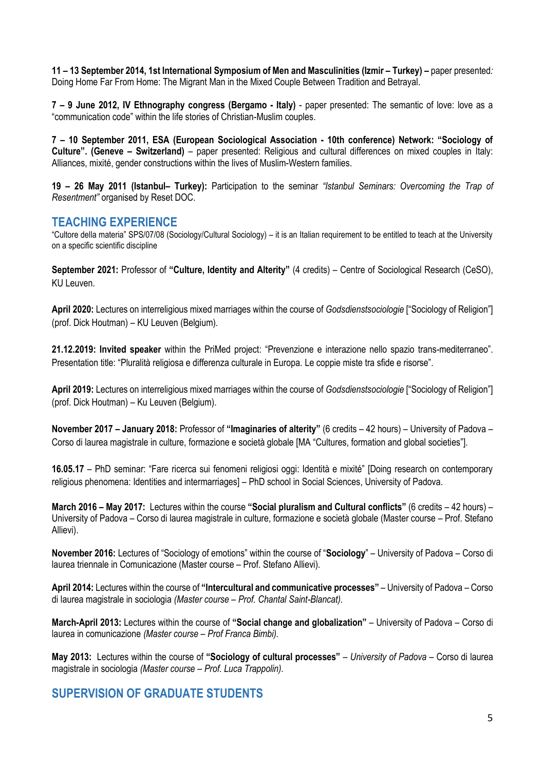**11 – 13 September 2014, 1st International Symposium of Men and Masculinities (Izmir – Turkey) –** paper presented*:* Doing Home Far From Home: The Migrant Man in the Mixed Couple Between Tradition and Betrayal.

**7 – 9 June 2012, IV Ethnography congress (Bergamo - Italy)** - paper presented: The semantic of love: love as a "communication code" within the life stories of Christian-Muslim couples.

**7 – 10 September 2011, ESA (European Sociological Association - 10th conference) Network: "Sociology of Culture". (Geneve – Switzerland)** – paper presented: Religious and cultural differences on mixed couples in Italy: Alliances, mixité, gender constructions within the lives of Muslim-Western families.

**19 – 26 May 2011 (Istanbul– Turkey):** Participation to the seminar *"Istanbul Seminars: Overcoming the Trap of Resentment"* organised by Reset DOC.

### **TEACHING EXPERIENCE**

"Cultore della materia" SPS/07/08 (Sociology/Cultural Sociology) – it is an Italian requirement to be entitled to teach at the University on a specific scientific discipline

**September 2021:** Professor of **"Culture, Identity and Alterity"** (4 credits) – Centre of Sociological Research (CeSO), KU Leuven.

**April 2020:** Lectures on interreligious mixed marriages within the course of *Godsdienstsociologie* ["Sociology of Religion"] (prof. Dick Houtman) – KU Leuven (Belgium).

**21.12.2019: Invited speaker** within the PriMed project: "Prevenzione e interazione nello spazio trans-mediterraneo". Presentation title: "Pluralità religiosa e differenza culturale in Europa. Le coppie miste tra sfide e risorse".

**April 2019:** Lectures on interreligious mixed marriages within the course of *Godsdienstsociologie* ["Sociology of Religion"] (prof. Dick Houtman) – Ku Leuven (Belgium).

**November 2017 – January 2018:** Professor of **"Imaginaries of alterity"** (6 credits – 42 hours) – University of Padova – Corso di laurea magistrale in culture, formazione e società globale [MA "Cultures, formation and global societies"].

**16.05.17** – PhD seminar: "Fare ricerca sui fenomeni religiosi oggi: Identità e mixité" [Doing research on contemporary religious phenomena: Identities and intermarriages] – PhD school in Social Sciences, University of Padova.

**March 2016 – May 2017:** Lectures within the course **"Social pluralism and Cultural conflicts"** (6 credits – 42 hours) – University of Padova *–* Corso di laurea magistrale in culture, formazione e società globale (Master course – Prof. Stefano Allievi).

**November 2016:** Lectures of "Sociology of emotions" within the course of "**Sociology**" – University of Padova – Corso di laurea triennale in Comunicazione (Master course – Prof. Stefano Allievi).

**April 2014:** Lectures within the course of **"Intercultural and communicative processes"** *–* University of Padova *–* Corso di laurea magistrale in sociologia *(Master course – Prof. Chantal Saint-Blancat).*

**March-April 2013:** Lectures within the course of **"Social change and globalization"** – University of Padova – Corso di laurea in comunicazione *(Master course – Prof Franca Bimbi).*

**May 2013:** Lectures within the course of **"Sociology of cultural processes"** *– University of Padova –* Corso di laurea magistrale in sociologia *(Master course – Prof. Luca Trappolin).* 

## **SUPERVISION OF GRADUATE STUDENTS**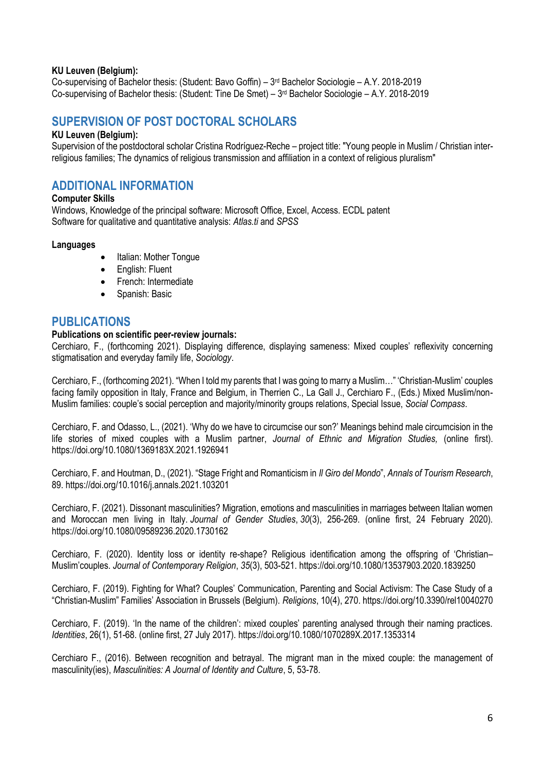### **KU Leuven (Belgium):**

Co-supervising of Bachelor thesis: (Student: Bavo Goffin) – 3 rd Bachelor Sociologie – A.Y. 2018-2019 Co-supervising of Bachelor thesis: (Student: Tine De Smet) – 3 rd Bachelor Sociologie – A.Y. 2018-2019

# **SUPERVISION OF POST DOCTORAL SCHOLARS**

#### **KU Leuven (Belgium):**

Supervision of the postdoctoral scholar Cristina Rodríguez-Reche – project title: "Young people in Muslim / Christian interreligious families; The dynamics of religious transmission and affiliation in a context of religious pluralism"

## **ADDITIONAL INFORMATION**

#### **Computer Skills**

Windows, Knowledge of the principal software: Microsoft Office, Excel, Access. ECDL patent Software for qualitative and quantitative analysis: *Atlas.ti* and *SPSS*

#### **Languages**

- Italian: Mother Tongue
- English: Fluent
- French: Intermediate
- Spanish: Basic

### **PUBLICATIONS**

#### **Publications on scientific peer-review journals:**

Cerchiaro, F., (forthcoming 2021). Displaying difference, displaying sameness: Mixed couples' reflexivity concerning stigmatisation and everyday family life, *Sociology*.

Cerchiaro, F., (forthcoming 2021). "When I told my parents that I was going to marry a Muslim…" 'Christian-Muslim' couples facing family opposition in Italy, France and Belgium, in Therrien C., La Gall J., Cerchiaro F., (Eds.) Mixed Muslim/non-Muslim families: couple's social perception and majority/minority groups relations, Special Issue, *Social Compass*.

Cerchiaro, F. and Odasso, L., (2021). 'Why do we have to circumcise our son?' Meanings behind male circumcision in the life stories of mixed couples with a Muslim partner, *Journal of Ethnic and Migration Studies,* (online first). https://doi.org/10.1080/1369183X.2021.1926941

Cerchiaro, F. and Houtman, D., (2021). "Stage Fright and Romanticism in *Il Giro del Mondo*", *Annals of Tourism Research*, 89. https://doi.org/10.1016/j.annals.2021.103201

Cerchiaro, F. (2021). Dissonant masculinities? Migration, emotions and masculinities in marriages between Italian women and Moroccan men living in Italy. *Journal of Gender Studies*, *30*(3), 256-269. (online first, 24 February 2020). https://doi.org/10.1080/09589236.2020.1730162

Cerchiaro, F. (2020). Identity loss or identity re-shape? Religious identification among the offspring of 'Christian– Muslim'couples. *Journal of Contemporary Religion*, *35*(3), 503-521. https://doi.org/10.1080/13537903.2020.1839250

Cerchiaro, F. (2019). Fighting for What? Couples' Communication, Parenting and Social Activism: The Case Study of a "Christian-Muslim" Families' Association in Brussels (Belgium). *Religions*, 10(4), 270. https://doi.org/10.3390/rel10040270

Cerchiaro, F. (2019). 'In the name of the children': mixed couples' parenting analysed through their naming practices. *Identities*, 26(1), 51-68. (online first, 27 July 2017). https://doi.org/10.1080/1070289X.2017.1353314

Cerchiaro F., (2016). Between recognition and betrayal. The migrant man in the mixed couple: the management of masculinity(ies), *Masculinities: A Journal of Identity and Culture*, 5, 53-78.